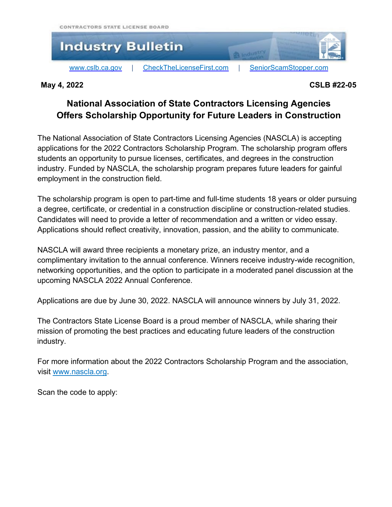

## **May 4, 2022 CSLB #22-05**

## **National Association of State Contractors Licensing Agencies Offers Scholarship Opportunity for Future Leaders in Construction**

The National Association of State Contractors Licensing Agencies (NASCLA) is accepting applications for the 2022 Contractors Scholarship Program. The scholarship program offers students an opportunity to pursue licenses, certificates, and degrees in the construction industry. Funded by NASCLA, the scholarship program prepares future leaders for gainful employment in the construction field.

The scholarship program is open to part-time and full-time students 18 years or older pursuing a degree, certificate, or credential in a construction discipline or construction-related studies. Candidates will need to provide a letter of recommendation and a written or video essay. Applications should reflect creativity, innovation, passion, and the ability to communicate.

NASCLA will award three recipients a monetary prize, an industry mentor, and a complimentary invitation to the annual conference. Winners receive industry-wide recognition, networking opportunities, and the option to participate in a moderated panel discussion at the upcoming NASCLA 2022 Annual Conference.

Applications are due by June 30, 2022. NASCLA will announce winners by July 31, 2022.

The Contractors State License Board is a proud member of NASCLA, while sharing their mission of promoting the best practices and educating future leaders of the construction industry.

For more information about the 2022 Contractors Scholarship Program and the association, visit [www.nascla.org.](http://www.nascla.org/)

Scan the code to apply: